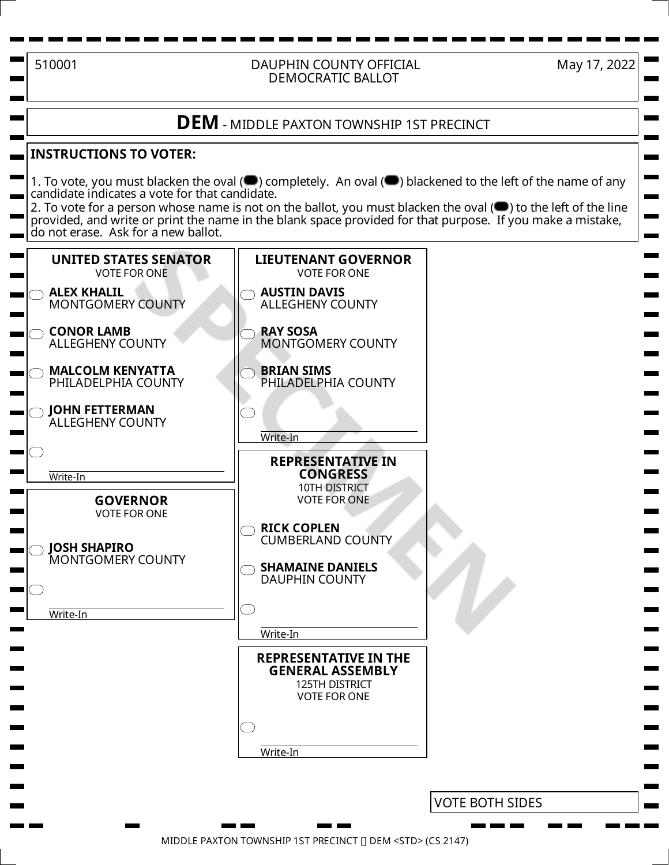## 510001 DAUPHIN COUNTY OFFICIAL DEMOCRATIC BALLOT

May 17, 2022

## **DEM** - MIDDLE PAXTON TOWNSHIP 1ST PRECINCT

## **INSTRUCTIONS TO VOTER:**

1. To vote, you must blacken the oval ( $\blacksquare$ ) completely. An oval ( $\blacksquare$ ) blackened to the left of the name of any candidate indicates a vote for that candidate.

2. To vote for a person whose name is not on the ballot, you must blacken the oval ( $\blacksquare$ ) to the left of the line provided, and write or print the name in the blank space provided for that purpose. If you make a mistake, do not erase. Ask for a new ballot.



VOTE BOTH SIDES